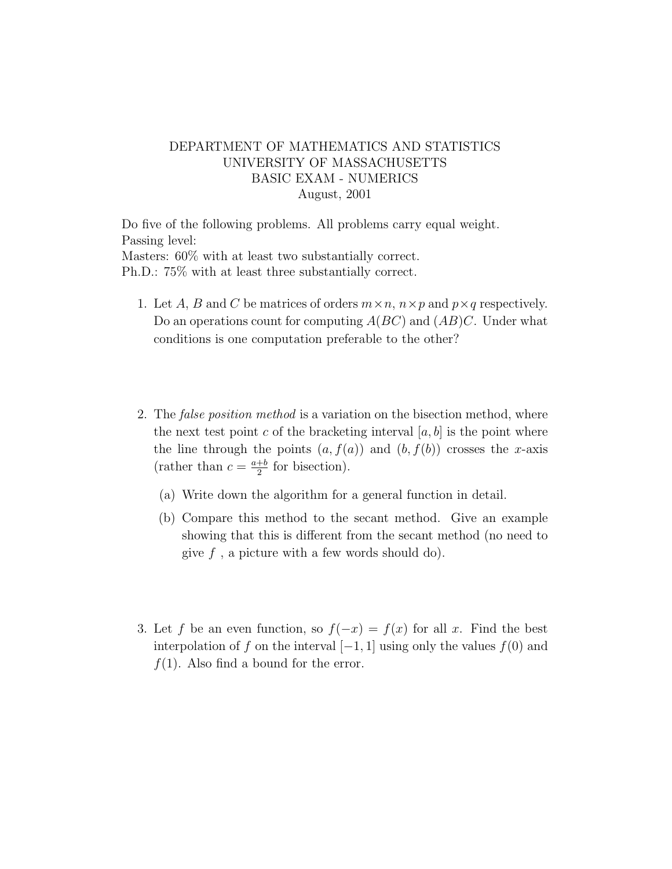## DEPARTMENT OF MATHEMATICS AND STATISTICS UNIVERSITY OF MASSACHUSETTS BASIC EXAM - NUMERICS August, 2001

Do five of the following problems. All problems carry equal weight. Passing level: Masters: 60% with at least two substantially correct. Ph.D.: 75% with at least three substantially correct.

- 1. Let A, B and C be matrices of orders  $m \times n$ ,  $n \times p$  and  $p \times q$  respectively. Do an operations count for computing  $A(BC)$  and  $(AB)C$ . Under what conditions is one computation preferable to the other?
- 2. The *false position method* is a variation on the bisection method, where the next test point c of the bracketing interval  $[a, b]$  is the point where the line through the points  $(a, f(a))$  and  $(b, f(b))$  crosses the x-axis (rather than  $c = \frac{a+b}{2}$  $\frac{+b}{2}$  for bisection).
	- (a) Write down the algorithm for a general function in detail.
	- (b) Compare this method to the secant method. Give an example showing that this is different from the secant method (no need to give  $f$ , a picture with a few words should do).
- 3. Let f be an even function, so  $f(-x) = f(x)$  for all x. Find the best interpolation of f on the interval  $[-1, 1]$  using only the values  $f(0)$  and  $f(1)$ . Also find a bound for the error.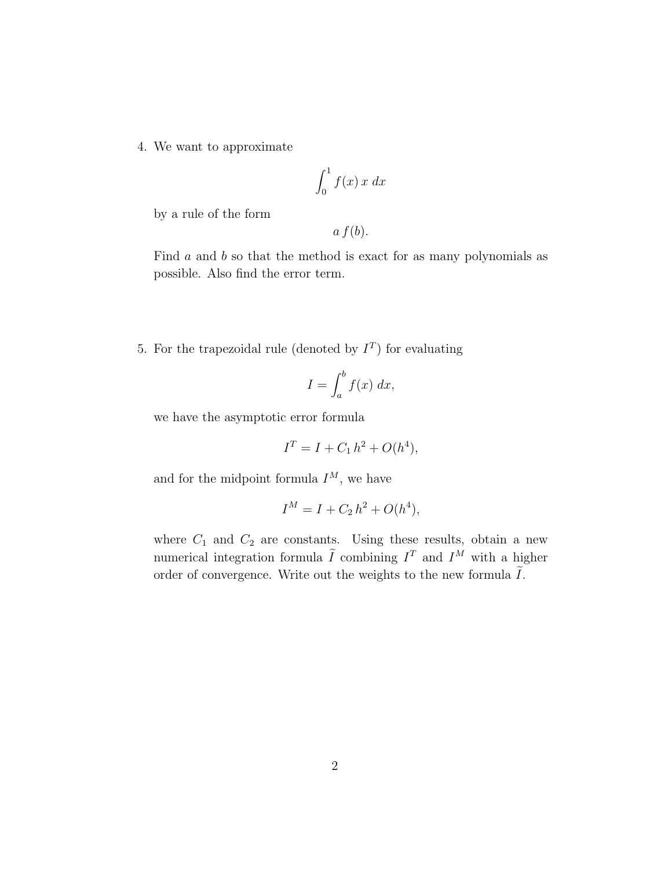4. We want to approximate

$$
\int_0^1 f(x) \, x \, dx
$$

by a rule of the form

 $a f(b)$ .

Find a and b so that the method is exact for as many polynomials as possible. Also find the error term.

5. For the trapezoidal rule (denoted by  $I<sup>T</sup>$ ) for evaluating

$$
I = \int_{a}^{b} f(x) \, dx,
$$

we have the asymptotic error formula

$$
I^T = I + C_1 h^2 + O(h^4),
$$

and for the midpoint formula  $I^M$ , we have

$$
I^M = I + C_2 h^2 + O(h^4),
$$

where  $C_1$  and  $C_2$  are constants. Using these results, obtain a new numerical integration formula  $\tilde{I}$  combining  $I<sup>T</sup>$  and  $I<sup>M</sup>$  with a higher order of convergence. Write out the weights to the new formula  $\tilde{I}$ .